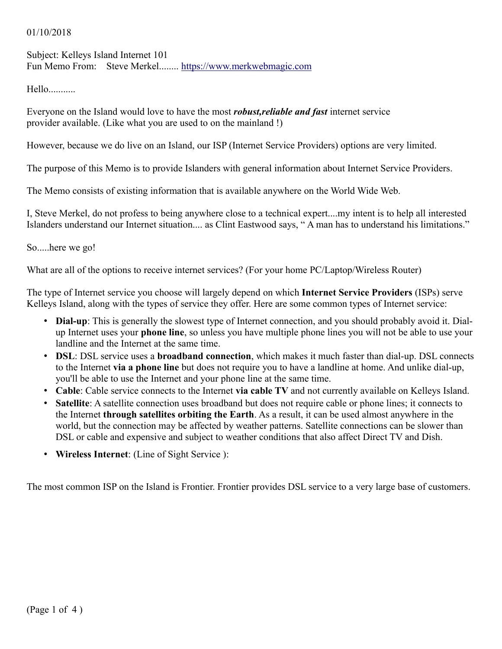#### 01/10/2018

Subject: Kelleys Island Internet 101 Fun Memo From: Steve Merkel........ [https://www.merkwebmagic.com](https://www.merkwebmagic.com/)

Hello...........

Everyone on the Island would love to have the most *robust,reliable and fast* internet service provider available. (Like what you are used to on the mainland !)

However, because we do live on an Island, our ISP (Internet Service Providers) options are very limited.

The purpose of this Memo is to provide Islanders with general information about Internet Service Providers.

The Memo consists of existing information that is available anywhere on the World Wide Web.

I, Steve Merkel, do not profess to being anywhere close to a technical expert....my intent is to help all interested Islanders understand our Internet situation.... as Clint Eastwood says, " A man has to understand his limitations."

So.....here we go!

What are all of the options to receive internet services? (For your home PC/Laptop/Wireless Router)

The type of Internet service you choose will largely depend on which **Internet Service Providers** (ISPs) serve Kelleys Island, along with the types of service they offer. Here are some common types of Internet service:

- **Dial-up**: This is generally the slowest type of Internet connection, and you should probably avoid it. Dialup Internet uses your **phone line**, so unless you have multiple phone lines you will not be able to use your landline and the Internet at the same time.
- **DSL**: DSL service uses a **broadband connection**, which makes it much faster than dial-up. DSL connects to the Internet **via a phone line** but does not require you to have a landline at home. And unlike dial-up, you'll be able to use the Internet and your phone line at the same time.
- **Cable**: Cable service connects to the Internet **via cable TV** and not currently available on Kelleys Island.
- **Satellite**: A satellite connection uses broadband but does not require cable or phone lines; it connects to the Internet **through satellites orbiting the Earth**. As a result, it can be used almost anywhere in the world, but the connection may be affected by weather patterns. Satellite connections can be slower than DSL or cable and expensive and subject to weather conditions that also affect Direct TV and Dish.
- **Wireless Internet**: (Line of Sight Service ):

The most common ISP on the Island is Frontier. Frontier provides DSL service to a very large base of customers.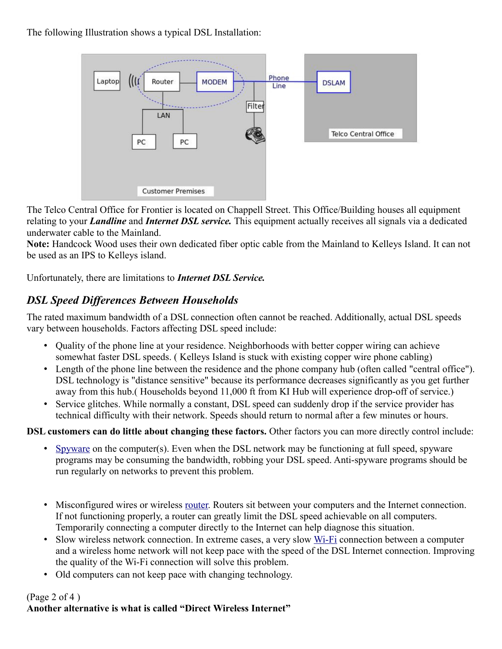The following Illustration shows a typical DSL Installation:



The Telco Central Office for Frontier is located on Chappell Street. This Office/Building houses all equipment relating to your *Landline* and *Internet DSL service.* This equipment actually receives all signals via a dedicated underwater cable to the Mainland.

**Note:** Handcock Wood uses their own dedicated fiber optic cable from the Mainland to Kelleys Island. It can not be used as an IPS to Kelleys island.

Unfortunately, there are limitations to *Internet DSL Service.*

# *DSL Speed Differences Between Households*

The rated maximum bandwidth of a DSL connection often cannot be reached. Additionally, actual DSL speeds vary between households. Factors affecting DSL speed include:

- Quality of the phone line at your residence. Neighborhoods with better copper wiring can achieve somewhat faster DSL speeds. ( Kelleys Island is stuck with existing copper wire phone cabling)
- Length of the phone line between the residence and the phone company hub (often called "central office"). DSL technology is "distance sensitive" because its performance decreases significantly as you get further away from this hub.( Households beyond 11,000 ft from KI Hub will experience drop-off of service.)
- Service glitches. While normally a constant, DSL speed can suddenly drop if the service provider has technical difficulty with their network. Speeds should return to normal after a few minutes or hours.

**DSL customers can do little about changing these factors.** Other factors you can more directly control include:

- [Spyware](https://www.lifewire.com/spyware-prevention-tips-153401) on the computer(s). Even when the DSL network may be functioning at full speed, spyware programs may be consuming the bandwidth, robbing your DSL speed. Anti-spyware programs should be run regularly on networks to prevent this problem.
- Misconfigured wires or wireless <u>router</u>. Routers sit between your computers and the Internet connection. If not functioning properly, a router can greatly limit the DSL speed achievable on all computers. Temporarily connecting a computer directly to the Internet can help diagnose this situation.
- Slow wireless network connection. In extreme cases, a very slow [Wi-Fi](https://www.lifewire.com/what-is-wi-fi-2377430) connection between a computer and a wireless home network will not keep pace with the speed of the DSL Internet connection. Improving the quality of the Wi-Fi connection will solve this problem.
- Old computers can not keep pace with changing technology.

### (Page 2 of 4 )

## **Another alternative is what is called "Direct Wireless Internet"**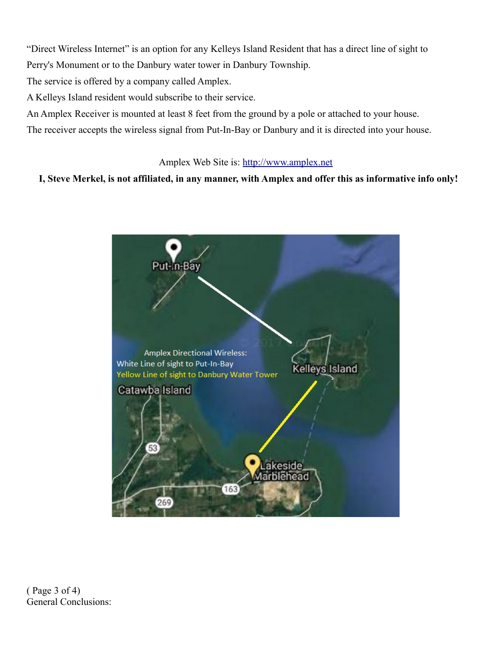"Direct Wireless Internet" is an option for any Kelleys Island Resident that has a direct line of sight to Perry's Monument or to the Danbury water tower in Danbury Township.

The service is offered by a company called Amplex.

A Kelleys Island resident would subscribe to their service.

An Amplex Receiver is mounted at least 8 feet from the ground by a pole or attached to your house.

The receiver accepts the wireless signal from Put-In-Bay or Danbury and it is directed into your house.

Amplex Web Site is: [http://www.amplex.net](http://www.amplex.net/) 

#### **I, Steve Merkel, is not affiliated, in any manner, with Amplex and offer this as informative info only!**



( Page 3 of 4) General Conclusions: